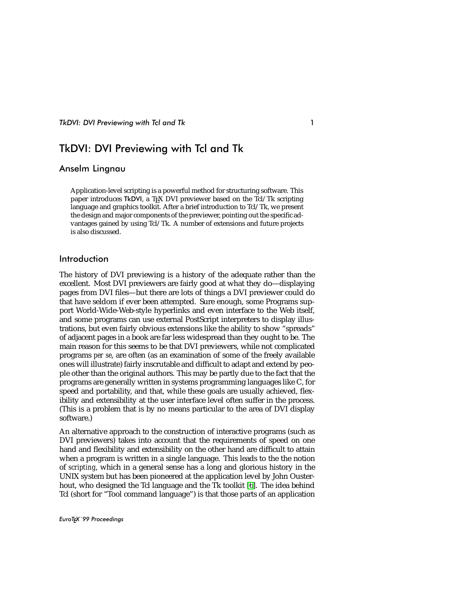# TkDVI: DVI Previewing with Tcl and Tk

# Anselm Lingnau

Application-level scripting is a powerful method for structuring software. This paper introduces TkDVI, a T<sub>F</sub>X DVI previewer based on the Tcl/Tk scripting language and graphics toolkit. After a brief introduction to Tcl/Tk, we present the design and major components of the previewer, pointing out the specific advantages gained by using Tcl/Tk. A number of extensions and future projects is also discussed.

## Introduction

The history of DVI previewing is a history of the adequate rather than the excellent. Most DVI previewers are fairly good at what they do—displaying pages from DVI files—but there are lots of things a DVI previewer could do that have seldom if ever been attempted. Sure enough, some Programs support World-Wide-Web-style hyperlinks and even interface to the Web itself, and some programs can use external PostScript interpreters to display illustrations, but even fairly obvious extensions like the ability to show "spreads" of adjacent pages in a book are far less widespread than they ought to be. The main reason for this seems to be that DVI previewers, while not complicated programs *per se*, are often (as an examination of some of the freely available ones will illustrate) fairly inscrutable and difficult to adapt and extend by people other than the original authors. This may be partly due to the fact that the programs are generally written in systems programming languages like C, for speed and portability, and that, while these goals are usually achieved, flexibility and extensibility at the user interface level often suffer in the process. (This is a problem that is by no means particular to the area of DVI display software.)

An alternative approach to the construction of interactive programs (such as DVI previewers) takes into account that the requirements of speed on one hand and flexibility and extensibility on the other hand are difficult to attain when a program is written in a single language. This leads to the the notion of *scripting*, which in a general sense has a long and glorious history in the UNIX system but has been pioneered at the application level by John Ousterhout, who designed the Tcl language and the Tk toolkit [\[6\]](#page-13-0). The idea behind Tcl (short for "Tool command language") is that those parts of an application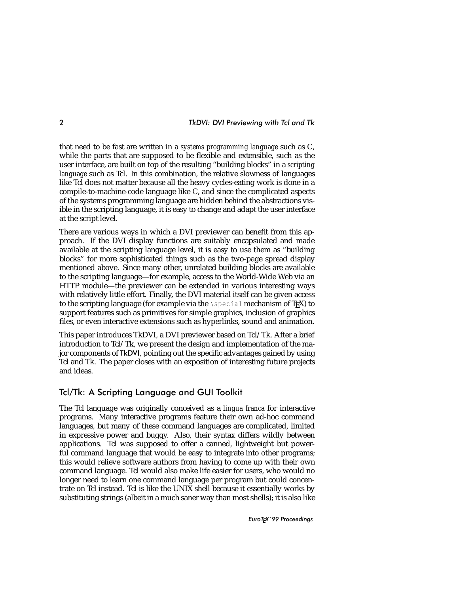that need to be fast are written in a *systems programming language* such as C, while the parts that are supposed to be flexible and extensible, such as the user interface, are built on top of the resulting "building blocks" in a *scripting language* such as Tcl. In this combination, the relative slowness of languages like Tcl does not matter because all the heavy cycles-eating work is done in a compile-to-machine-code language like C, and since the complicated aspects of the systems programming language are hidden behind the abstractions visible in the scripting language, it is easy to change and adapt the user interface at the script level.

There are various ways in which a DVI previewer can benefit from this approach. If the DVI display functions are suitably encapsulated and made available at the scripting language level, it is easy to use them as "building blocks" for more sophisticated things such as the two-page spread display mentioned above. Since many other, unrelated building blocks are available to the scripting language—for example, access to the World-Wide Web via an HTTP module—the previewer can be extended in various interesting ways with relatively little effort. Finally, the DVI material itself can be given access to the scripting language (for example via the  $\setminus$ special mechanism of T<sub>E</sub>X) to support features such as primitives for simple graphics, inclusion of graphics files, or even interactive extensions such as hyperlinks, sound and animation.

This paper introduces TkDVI, a DVI previewer based on Tcl/Tk. After a brief introduction to Tcl/Tk, we present the design and implementation of the major components of TkDVI, pointing out the specific advantages gained by using Tcl and Tk. The paper closes with an exposition of interesting future projects and ideas.

# Tcl/Tk: A Scripting Language and GUI Toolkit

The Tcl language was originally conceived as a *lingua franca* for interactive programs. Many interactive programs feature their own ad-hoc command languages, but many of these command languages are complicated, limited in expressive power and buggy. Also, their syntax differs wildly between applications. Tcl was supposed to offer a canned, lightweight but powerful command language that would be easy to integrate into other programs; this would relieve software authors from having to come up with their own command language. Tcl would also make life easier for users, who would no longer need to learn one command language per program but could concentrate on Tcl instead. Tcl is like the UNIX shell because it essentially works by substituting strings (albeit in a much saner way than most shells); it is also like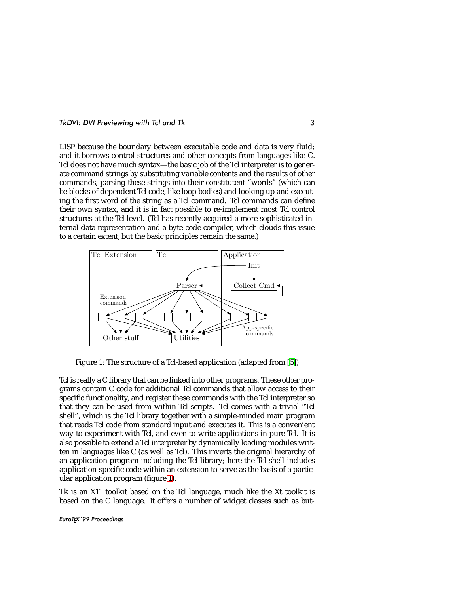LISP because the boundary between executable code and data is very fluid; and it borrows control structures and other concepts from languages like C. Tcl does not have much syntax—the basic job of the Tcl interpreter is to generate command strings by substituting variable contents and the results of other commands, parsing these strings into their constitutent "words" (which can be blocks of dependent Tcl code, like loop bodies) and looking up and executing the first word of the string as a Tcl command. Tcl commands can define their own syntax, and it is in fact possible to re-implement most Tcl control structures at the Tcl level. (Tcl has recently acquired a more sophisticated internal data representation and a byte-code compiler, which clouds this issue to a certain extent, but the basic principles remain the same.)



Figure 1: The structure of a Tcl-based application (adapted from [\[5\]](#page-13-1))

<span id="page-2-0"></span>Tcl is really a C library that can be linked into other programs. These other programs contain C code for additional Tcl commands that allow access to their specific functionality, and register these commands with the Tcl interpreter so that they can be used from within Tcl scripts. Tcl comes with a trivial "Tcl shell", which is the Tcl library together with a simple-minded main program that reads Tcl code from standard input and executes it. This is a convenient way to experiment with Tcl, and even to write applications in pure Tcl. It is also possible to extend a Tcl interpreter by dynamically loading modules written in languages like C (as well as Tcl). This inverts the original hierarchy of an application program including the Tcl library; here the Tcl shell includes application-specific code within an extension to serve as the basis of a particular application program (figure [1\)](#page-2-0).

Tk is an X11 toolkit based on the Tcl language, much like the Xt toolkit is based on the C language. It offers a number of widget classes such as but-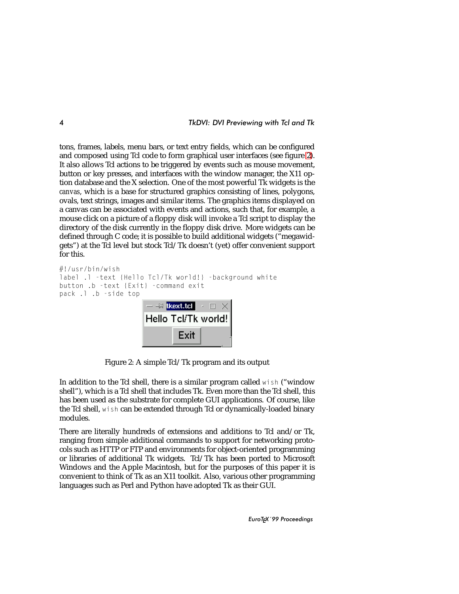tons, frames, labels, menu bars, or text entry fields, which can be configured and composed using Tcl code to form graphical user interfaces (see figure [2\)](#page-3-0). It also allows Tcl actions to be triggered by events such as mouse movement, button or key presses, and interfaces with the window manager, the X11 option database and the X selection. One of the most powerful Tk widgets is the *canvas*, which is a base for structured graphics consisting of lines, polygons, ovals, text strings, images and similar items. The graphics items displayed on a canvas can be associated with events and actions, such that, for example, a mouse click on a picture of a floppy disk will invoke a Tcl script to display the directory of the disk currently in the floppy disk drive. More widgets can be defined through C code; it is possible to build additional widgets ("megawidgets") at the Tcl level but stock Tcl/Tk doesn't (yet) offer convenient support for this.

```
#!/usr/bin/wish
label .1 -text {Hello Tcl/Tk world!} -background white
button .b -text {Exit} -command exit
pack .l .b -side top
                       - -M tkext.tcl \|\cdot\| \timesHello Tcl/Tk world!
                                Exit
```
<span id="page-3-0"></span>Figure 2: A simple Tcl/Tk program and its output

In addition to the Tcl shell, there is a similar program called wish ("window shell"), which is a Tcl shell that includes Tk. Even more than the Tcl shell, this has been used as the substrate for complete GUI applications. Of course, like the Tcl shell, wish can be extended through Tcl or dynamically-loaded binary modules.

There are literally hundreds of extensions and additions to Tcl and/or Tk, ranging from simple additional commands to support for networking protocols such as HTTP or FTP and environments for object-oriented programming or libraries of additional Tk widgets. Tcl/Tk has been ported to Microsoft Windows and the Apple Macintosh, but for the purposes of this paper it is convenient to think of Tk as an X11 toolkit. Also, various other programming languages such as Perl and Python have adopted Tk as their GUI.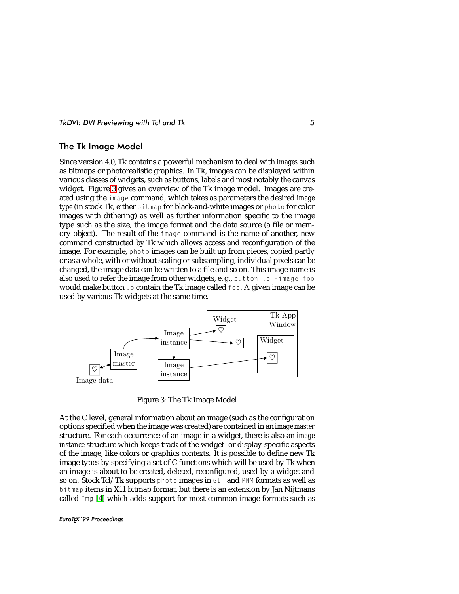## The Tk Image Model

Since version 4.0, Tk contains a powerful mechanism to deal with *images* such as bitmaps or photorealistic graphics. In Tk, images can be displayed within various classes of widgets, such as buttons, labels and most notably the canvas widget. Figure [3](#page-4-0) gives an overview of the Tk image model. Images are created using the image command, which takes as parameters the desired *image type* (in stock Tk, either bitmap for black-and-white images or photo for color images with dithering) as well as further information specific to the image type such as the size, the image format and the data source (a file or memory object). The result of the image command is the name of another, new command constructed by Tk which allows access and reconfiguration of the image. For example, photo images can be built up from pieces, copied partly or as a whole, with or without scaling or subsampling, individual pixels can be changed, the image data can be written to a file and so on. This image name is also used to refer the image from other widgets, e. g., button .b -image foo would make button. b contain the Tk image called foo. A given image can be used by various Tk widgets at the same time.



<span id="page-4-0"></span>Figure 3: The Tk Image Model

At the C level, general information about an image (such as the configuration options specified when the image was created) are contained in an *image master* structure. For each occurrence of an image in a widget, there is also an *image instance* structure which keeps track of the widget- or display-specific aspects of the image, like colors or graphics contexts. It is possible to define new Tk image types by specifying a set of C functions which will be used by Tk when an image is about to be created, deleted, reconfigured, used by a widget and so on. Stock Tcl/Tk supports photo images in GIF and PNM formats as well as bitmap items in X11 bitmap format, but there is an extension by Jan Nijtmans called Img [\[4\]](#page-13-2) which adds support for most common image formats such as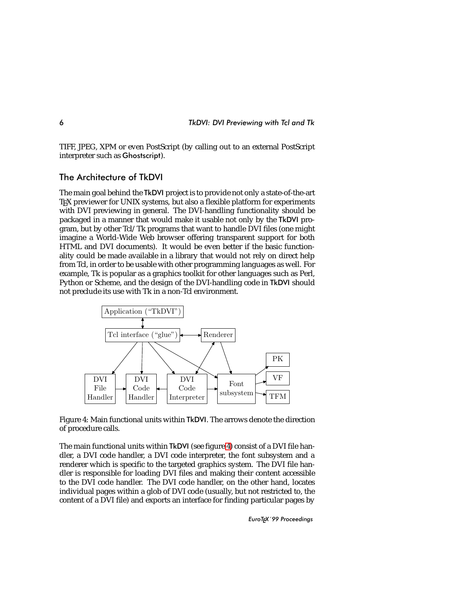

TIFF, JPEG, XPM or even PostScript (by calling out to an external PostScript interpreter such as Ghostscript).

# The Architecture of TkDVI

The main goal behind the TkDVI project is to provide not only a state-of-the-art T<sub>E</sub>X previewer for UNIX systems, but also a flexible platform for experiments with DVI previewing in general. The DVI-handling functionality should be packaged in a manner that would make it usable not only by the TkDVI program, but by other Tcl/Tk programs that want to handle DVI files (one might imagine a World-Wide Web browser offering transparent support for both HTML and DVI documents). It would be even better if the basic functionality could be made available in a library that would not rely on direct help from Tcl, in order to be usable with other programming languages as well. For example, Tk is popular as a graphics toolkit for other languages such as Perl, Python or Scheme, and the design of the DVI-handling code in TkDVI should not preclude its use with Tk in a non-Tcl environment.



<span id="page-5-0"></span>Figure 4: Main functional units within TkDVI. The arrows denote the direction of procedure calls.

The main functional units within TkDVI (see figure [4\)](#page-5-0) consist of a DVI file handler, a DVI code handler, a DVI code interpreter, the font subsystem and a renderer which is specific to the targeted graphics system. The DVI file handler is responsible for loading DVI files and making their content accessible to the DVI code handler. The DVI code handler, on the other hand, locates individual pages within a glob of DVI code (usually, but not restricted to, the content of a DVI file) and exports an interface for finding particular pages by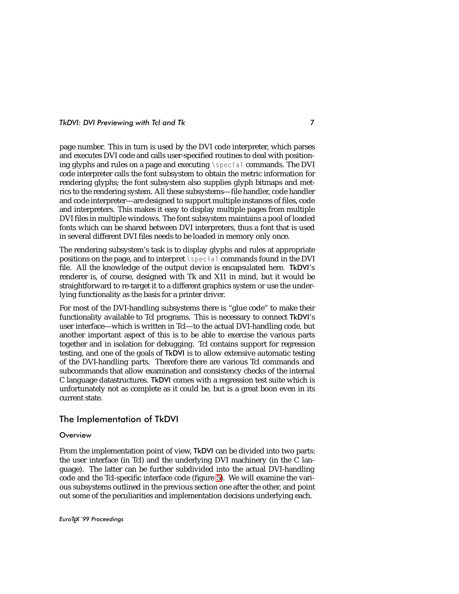page number. This in turn is used by the DVI code interpreter, which parses and executes DVI code and calls user-specified routines to deal with positioning glyphs and rules on a page and executing \special commands. The DVI code interpreter calls the font subsystem to obtain the metric information for rendering glyphs; the font subsystem also supplies glyph bitmaps and metrics to the rendering system. All these subsystems—file handler, code handler and code interpreter—are designed to support multiple instances of files, code and interpreters. This makes it easy to display multiple pages from multiple DVI files in multiple windows. The font subsystem maintains a pool of loaded fonts which can be shared between DVI interpreters, thus a font that is used in several different DVI files needs to be loaded in memory only once.

The rendering subsystem's task is to display glyphs and rules at appropriate positions on the page, and to interpret \special commands found in the DVI file. All the knowledge of the output device is encapsulated here. TkDVI's renderer is, of course, designed with Tk and X11 in mind, but it would be straightforward to re-target it to a different graphics system or use the underlying functionality as the basis for a printer driver.

For most of the DVI-handling subsystems there is "glue code" to make their functionality available to Tcl programs. This is necessary to connect TkDVI's user interface—which is written in Tcl—to the actual DVI-handling code, but another important aspect of this is to be able to exercise the various parts together and in isolation for debugging. Tcl contains support for regression testing, and one of the goals of TkDVI is to allow extensive automatic testing of the DVI-handling parts. Therefore there are various Tcl commands and subcommands that allow examination and consistency checks of the internal C language datastructures. TkDVI comes with a regression test suite which is unfortunately not as complete as it could be, but is a great boon even in its current state.

## The Implementation of TkDVI

#### **Overview**

From the implementation point of view, TkDVI can be divided into two parts: the user interface (in Tcl) and the underlying DVI machinery (in the C language). The latter can be further subdivided into the actual DVI-handling code and the Tcl-specific interface code (figure [5\)](#page-7-0). We will examine the various subsystems outlined in the previous section one after the other, and point out some of the peculiarities and implementation decisions underlying each.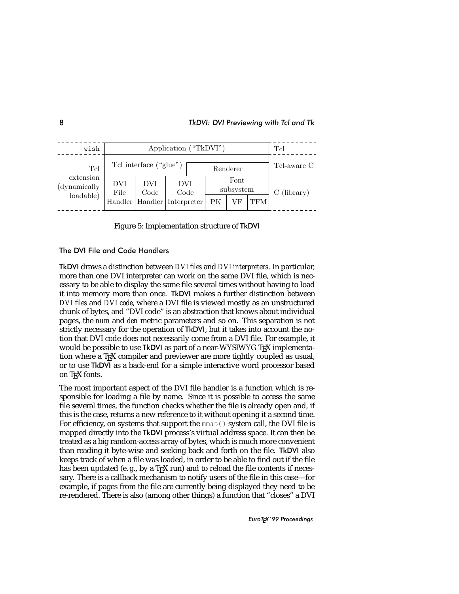| wish                                          | Application ("TkDVI")           |  |             |    |                   |     |  | Tcl         |
|-----------------------------------------------|---------------------------------|--|-------------|----|-------------------|-----|--|-------------|
| Tcl<br>extension<br>(dynamically<br>loadable) | Tcl interface ("glue")          |  |             |    | Renderer          |     |  | Tcl-aware C |
|                                               | DVI<br>DVI<br>Code<br>File      |  | DVI<br>Code |    | Font<br>subsystem |     |  | (library)   |
|                                               | Handler   Handler   Interpreter |  |             | PК | VF                | TFM |  |             |

<span id="page-7-0"></span>Figure 5: Implementation structure of TkDVI

### The DVI File and Code Handlers

TkDVI draws a distinction between *DVI files* and *DVI interpreters*. In particular, more than one DVI interpreter can work on the same DVI file, which is necessary to be able to display the same file several times without having to load it into memory more than once. TkDVI makes a further distinction between *DVI files* and *DVI code*, where a DVI file is viewed mostly as an unstructured chunk of bytes, and "DVI code" is an abstraction that knows about individual pages, the *num* and *den* metric parameters and so on. This separation is not strictly necessary for the operation of TkDVI, but it takes into account the notion that DVI code does not necessarily come from a DVI file. For example, it would be possible to use TkDVI as part of a near-WYSIWYG TFX implementation where a T<sub>F</sub>X compiler and previewer are more tightly coupled as usual, or to use TkDVI as a back-end for a simple interactive word processor based on TEX fonts.

The most important aspect of the DVI file handler is a function which is responsible for loading a file by name. Since it is possible to access the same file several times, the function checks whether the file is already open and, if this is the case, returns a new reference to it without opening it a second time. For efficiency, on systems that support the mmap() system call, the DVI file is mapped directly into the TkDVI process's virtual address space. It can then be treated as a big random-access array of bytes, which is much more convenient than reading it byte-wise and seeking back and forth on the file. TkDVI also keeps track of when a file was loaded, in order to be able to find out if the file has been updated (e.g., by a T<sub>E</sub>X run) and to reload the file contents if necessary. There is a callback mechanism to notify users of the file in this case—for example, if pages from the file are currently being displayed they need to be re-rendered. There is also (among other things) a function that "closes" a DVI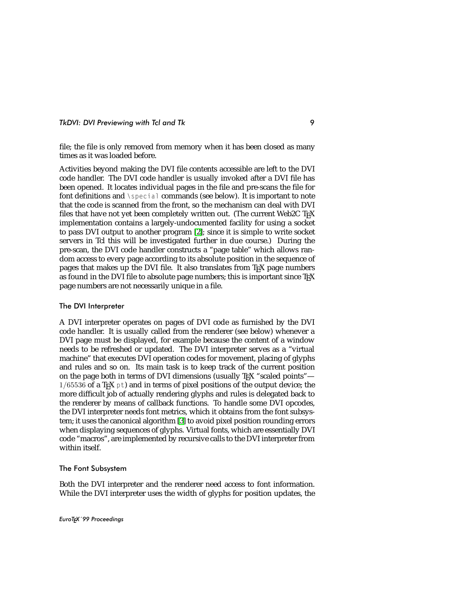file; the file is only removed from memory when it has been closed as many times as it was loaded before.

Activities beyond making the DVI file contents accessible are left to the DVI code handler. The DVI code handler is usually invoked after a DVI file has been opened. It locates individual pages in the file and pre-scans the file for font definitions and \special commands (see below). It is important to note that the code is scanned from the front, so the mechanism can deal with DVI files that have not yet been completely written out. (The current Web2C TFX implementation contains a largely-undocumented facility for using a socket to pass DVI output to another program [\[2\]](#page-13-3); since it is simple to write socket servers in Tcl this will be investigated further in due course.) During the pre-scan, the DVI code handler constructs a "page table" which allows random access to every page according to its absolute position in the sequence of pages that makes up the DVI file. It also translates from TEX page numbers as found in the DVI file to absolute page numbers; this is important since  $T_F X$ page numbers are not necessarily unique in a file.

#### The DVI Interpreter

A DVI interpreter operates on pages of DVI code as furnished by the DVI code handler. It is usually called from the renderer (see below) whenever a DVI page must be displayed, for example because the content of a window needs to be refreshed or updated. The DVI interpreter serves as a "virtual machine" that executes DVI operation codes for movement, placing of glyphs and rules and so on. Its main task is to keep track of the current position on the page both in terms of DVI dimensions (usually  $T<sub>F</sub>X$  "scaled points"— 1/65536 of a T<sub>E</sub>X pt) and in terms of pixel positions of the output device; the more difficult job of actually rendering glyphs and rules is delegated back to the renderer by means of callback functions. To handle some DVI opcodes, the DVI interpreter needs font metrics, which it obtains from the font subsystem; it uses the canonical algorithm [\[3\]](#page-13-4) to avoid pixel position rounding errors when displaying sequences of glyphs. Virtual fonts, which are essentially DVI code "macros", are implemented by recursive calls to the DVI interpreter from within itself.

#### The Font Subsystem

Both the DVI interpreter and the renderer need access to font information. While the DVI interpreter uses the width of glyphs for position updates, the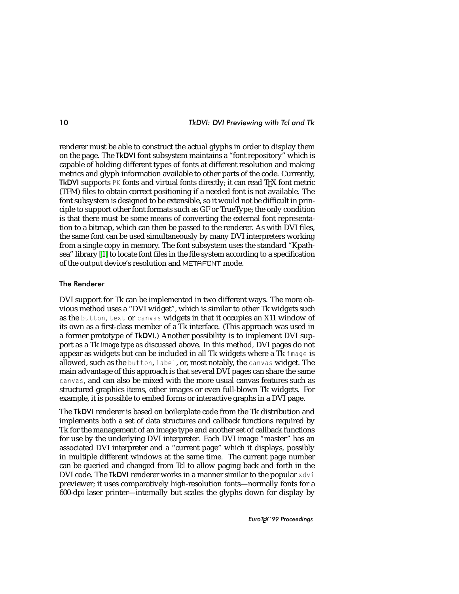renderer must be able to construct the actual glyphs in order to display them on the page. The TkDVI font subsystem maintains a "font repository" which is capable of holding different types of fonts at different resolution and making metrics and glyph information available to other parts of the code. Currently, TkDVI supports  $PK$  fonts and virtual fonts directly; it can read T<sub>E</sub>X font metric (TFM) files to obtain correct positioning if a needed font is not available. The font subsystem is designed to be extensible, so it would not be difficult in principle to support other font formats such as GF or TrueType; the only condition is that there must be some means of converting the external font representation to a bitmap, which can then be passed to the renderer. As with DVI files, the same font can be used simultaneously by many DVI interpreters working from a single copy in memory. The font subsystem uses the standard "Kpathsea" library [\[1\]](#page-13-5) to locate font files in the file system according to a specification of the output device's resolution and METAFONT mode.

### The Renderer

DVI support for Tk can be implemented in two different ways. The more obvious method uses a "DVI widget", which is similar to other Tk widgets such as the button, text or canvas widgets in that it occupies an X11 window of its own as a first-class member of a Tk interface. (This approach was used in a former prototype of TkDVI.) Another possibility is to implement DVI support as a Tk *image type* as discussed above. In this method, DVI pages do not appear as widgets but can be included in all Tk widgets where a Tk image is allowed, such as the button, label, or, most notably, the canvas widget. The main advantage of this approach is that several DVI pages can share the same canvas, and can also be mixed with the more usual canvas features such as structured graphics items, other images or even full-blown Tk widgets. For example, it is possible to embed forms or interactive graphs in a DVI page.

The TkDVI renderer is based on boilerplate code from the Tk distribution and implements both a set of data structures and callback functions required by Tk for the management of an image type and another set of callback functions for use by the underlying DVI interpreter. Each DVI image "master" has an associated DVI interpreter and a "current page" which it displays, possibly in multiple different windows at the same time. The current page number can be queried and changed from Tcl to allow paging back and forth in the DVI code. The TkDVI renderer works in a manner similar to the popular xdvi previewer; it uses comparatively high-resolution fonts—normally fonts for a 600-dpi laser printer—internally but scales the glyphs down for display by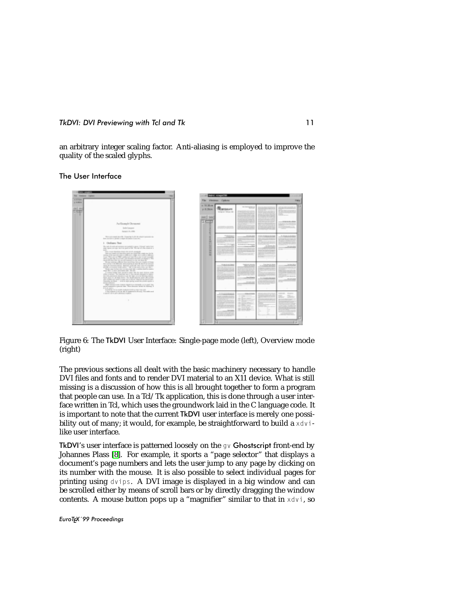an arbitrary integer scaling factor. Anti-aliasing is employed to improve the quality of the scaled glyphs.

The User Interface



Figure 6: The TkDVI User Interface: Single-page mode (left), Overview mode (right)

The previous sections all dealt with the basic machinery necessary to handle DVI files and fonts and to render DVI material to an X11 device. What is still missing is a discussion of how this is all brought together to form a program that people can use. In a Tcl/Tk application, this is done through a user interface written in Tcl, which uses the groundwork laid in the C language code. It is important to note that the current TkDVI user interface is merely one possibility out of many; it would, for example, be straightforward to build a  $x\,dy$  ilike user interface.

TkDVI's user interface is patterned loosely on the gv Ghostscript front-end by Johannes Plass [\[8\]](#page-14-0). For example, it sports a "page selector" that displays a document's page numbers and lets the user jump to any page by clicking on its number with the mouse. It is also possible to select individual pages for printing using dvips. A DVI image is displayed in a big window and can be scrolled either by means of scroll bars or by directly dragging the window contents. A mouse button pops up a "magnifier" similar to that in  $x \, dy$ , so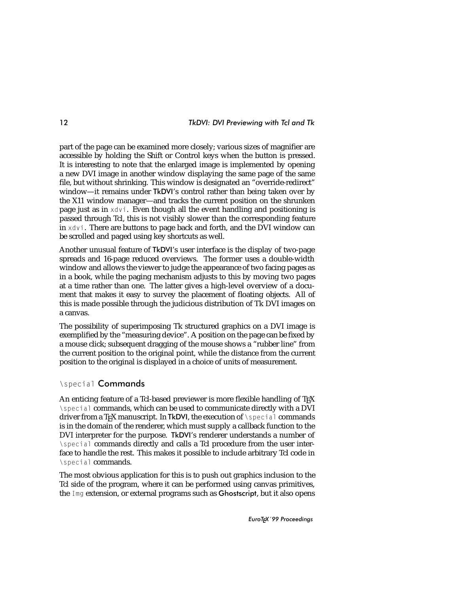part of the page can be examined more closely; various sizes of magnifier are accessible by holding the Shift or Control keys when the button is pressed. It is interesting to note that the enlarged image is implemented by opening a new DVI image in another window displaying the same page of the same file, but without shrinking. This window is designated an "override-redirect" window—it remains under TkDVI's control rather than being taken over by the X11 window manager—and tracks the current position on the shrunken page just as in xdvi. Even though all the event handling and positioning is passed through Tcl, this is not visibly slower than the corresponding feature in xdvi. There are buttons to page back and forth, and the DVI window can be scrolled and paged using key shortcuts as well.

Another unusual feature of TkDVI's user interface is the display of two-page spreads and 16-page reduced overviews. The former uses a double-width window and allows the viewer to judge the appearance of two facing pages as in a book, while the paging mechanism adjusts to this by moving two pages at a time rather than one. The latter gives a high-level overview of a document that makes it easy to survey the placement of floating objects. All of this is made possible through the judicious distribution of Tk DVI images on a canvas.

The possibility of superimposing Tk structured graphics on a DVI image is exemplified by the "measuring device". A position on the page can be fixed by a mouse click; subsequent dragging of the mouse shows a "rubber line" from the current position to the original point, while the distance from the current position to the original is displayed in a choice of units of measurement.

## \special Commands

An enticing feature of a Tcl-based previewer is more flexible handling of T<sub>E</sub>X \special commands, which can be used to communicate directly with a DVI driver from a T<sub>F</sub>X manuscript. In TkDVI, the execution of \special commands is in the domain of the renderer, which must supply a callback function to the DVI interpreter for the purpose. TkDVI's renderer understands a number of \special commands directly and calls a Tcl procedure from the user interface to handle the rest. This makes it possible to include arbitrary Tcl code in \special commands.

The most obvious application for this is to push out graphics inclusion to the Tcl side of the program, where it can be performed using canvas primitives, the Img extension, or external programs such as Ghostscript, but it also opens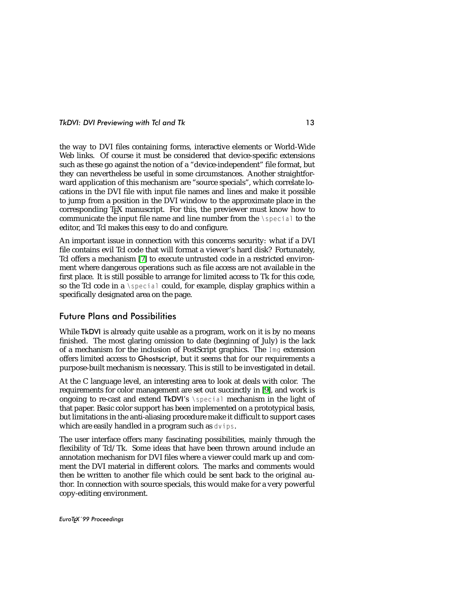the way to DVI files containing forms, interactive elements or World-Wide Web links. Of course it must be considered that device-specific extensions such as these go against the notion of a "device-independent" file format, but they can nevertheless be useful in some circumstances. Another straightforward application of this mechanism are "source specials", which correlate locations in the DVI file with input file names and lines and make it possible to jump from a position in the DVI window to the approximate place in the corresponding T<sub>E</sub>X manuscript. For this, the previewer must know how to communicate the input file name and line number from the \special to the editor, and Tcl makes this easy to do and configure.

An important issue in connection with this concerns security: what if a DVI file contains evil Tcl code that will format a viewer's hard disk? Fortunately, Tcl offers a mechanism [\[7\]](#page-13-6) to execute untrusted code in a restricted environment where dangerous operations such as file access are not available in the first place. It is still possible to arrange for limited access to Tk for this code, so the Tcl code in a \special could, for example, display graphics within a specifically designated area on the page.

### Future Plans and Possibilities

While TkDVI is already quite usable as a program, work on it is by no means finished. The most glaring omission to date (beginning of July) is the lack of a mechanism for the inclusion of PostScript graphics. The Img extension offers limited access to Ghostscript, but it seems that for our requirements a purpose-built mechanism is necessary. This is still to be investigated in detail.

At the C language level, an interesting area to look at deals with color. The requirements for color management are set out succinctly in [\[9\]](#page-14-1), and work is ongoing to re-cast and extend TkDVI's \special mechanism in the light of that paper. Basic color support has been implemented on a prototypical basis, but limitations in the anti-aliasing procedure make it difficult to support cases which are easily handled in a program such as dvips.

The user interface offers many fascinating possibilities, mainly through the flexibility of Tcl/Tk. Some ideas that have been thrown around include an annotation mechanism for DVI files where a viewer could mark up and comment the DVI material in different colors. The marks and comments would then be written to another file which could be sent back to the original author. In connection with source specials, this would make for a very powerful copy-editing environment.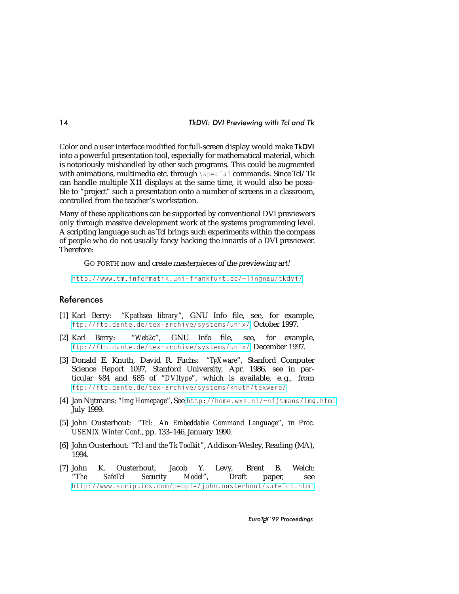Color and a user interface modified for full-screen display would make TkDVI into a powerful presentation tool, especially for mathematical material, which is notoriously mishandled by other such programs. This could be augmented with animations, multimedia etc. through \special commands. Since Tcl/Tk can handle multiple X11 displays at the same time, it would also be possible to "project" such a presentation onto a number of screens in a classroom, controlled from the teacher's workstation.

Many of these applications can be supported by conventional DVI previewers only through massive development work at the systems programming level. A scripting language such as Tcl brings such experiments within the compass of people who do not usually fancy hacking the innards of a DVI previewer. Therefore:

GO FORTH now and create masterpieces of the previewing art!

<http://www.tm.informatik.uni-frankfurt.de/~lingnau/tkdvi/>

## <span id="page-13-5"></span>**References**

- <span id="page-13-3"></span>[1] Karl Berry: "*Kpathsea library*", GNU Info file, see, for example, <ftp://ftp.dante.de/tex-archive/systems/unix/>, October 1997.
- <span id="page-13-4"></span>[2] Karl Berry: "*Web2c*", GNU Info file, see, for example, <ftp://ftp.dante.de/tex-archive/systems/unix/>, December 1997.
- [3] Donald E. Knuth, David R. Fuchs: "T<sub>F</sub>Xware", Stanford Computer Science Report 1097, Stanford University, Apr. 1986, see in particular §84 and §85 of "*DVItype*", which is available, e. g., from <ftp://ftp.dante.de/tex-archive/systems/knuth/texware/>
- <span id="page-13-2"></span><span id="page-13-1"></span>[4] Jan Nijtmans: "*Img Homepage*", See <http://home.wxs.nl/~nijtmans/img.html>, July 1999.
- <span id="page-13-0"></span>[5] John Ousterhout: "*Tcl: An Embeddable Command Language*", in *Proc. USENIX Winter Conf.*, pp. 133–146, January 1990.
- <span id="page-13-6"></span>[6] John Ousterhout: "*Tcl and the Tk Toolkit*", Addison-Wesley, Reading (MA), 1994.
- [7] John K. Ousterhout, Jacob Y. Levy, Brent B. Welch:<br>"The SafeTcl Security Model". Draft paper, see "*The SafeTcl Security Model*", Draft paper, see <http://www.scriptics.com/people/john.ousterhout/safeTcl.html>